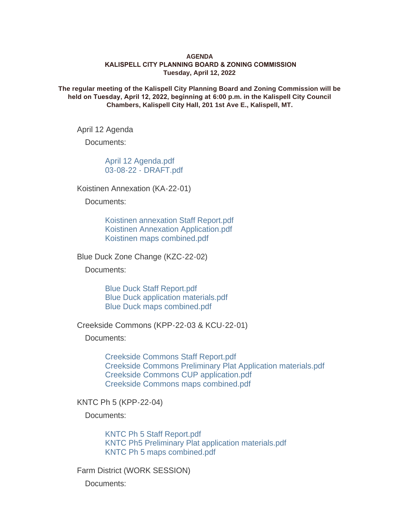## **AGENDA KALISPELL CITY PLANNING BOARD & ZONING COMMISSION Tuesday, April 12, 2022**

**The regular meeting of the Kalispell City Planning Board and Zoning Commission will be held on Tuesday, April 12, 2022, beginning at 6:00 p.m. in the Kalispell City Council Chambers, Kalispell City Hall, 201 1st Ave E., Kalispell, MT.**

April 12 Agenda

Documents:

[April 12 Agenda.pdf](https://www.kalispell.com/AgendaCenter/ViewFile/Item/523?fileID=3904) [03-08-22 - DRAFT.pdf](https://www.kalispell.com/AgendaCenter/ViewFile/Item/523?fileID=3905)

Koistinen Annexation (KA-22-01)

Documents:

[Koistinen annexation Staff Report.pdf](https://www.kalispell.com/AgendaCenter/ViewFile/Item/517?fileID=3943) [Koistinen Annexation Application.pdf](https://www.kalispell.com/AgendaCenter/ViewFile/Item/517?fileID=3889) [Koistinen maps combined.pdf](https://www.kalispell.com/AgendaCenter/ViewFile/Item/517?fileID=3890)

Blue Duck Zone Change (KZC-22-02)

Documents:

[Blue Duck Staff Report.pdf](https://www.kalispell.com/AgendaCenter/ViewFile/Item/518?fileID=3944) [Blue Duck application materials.pdf](https://www.kalispell.com/AgendaCenter/ViewFile/Item/518?fileID=3891) [Blue Duck maps combined.pdf](https://www.kalispell.com/AgendaCenter/ViewFile/Item/518?fileID=3892)

Creekside Commons (KPP-22-03 & KCU-22-01)

Documents:

[Creekside Commons Staff Report.pdf](https://www.kalispell.com/AgendaCenter/ViewFile/Item/519?fileID=3954) [Creekside Commons Preliminary Plat Application materials.pdf](https://www.kalispell.com/AgendaCenter/ViewFile/Item/519?fileID=3894) [Creekside Commons CUP application.pdf](https://www.kalispell.com/AgendaCenter/ViewFile/Item/519?fileID=3895) [Creekside Commons maps combined.pdf](https://www.kalispell.com/AgendaCenter/ViewFile/Item/519?fileID=3893)

KNTC Ph 5 (KPP-22-04)

Documents:

[KNTC Ph 5 Staff Report.pdf](https://www.kalispell.com/AgendaCenter/ViewFile/Item/520?fileID=3946) [KNTC Ph5 Preliminary Plat application materials.pdf](https://www.kalispell.com/AgendaCenter/ViewFile/Item/520?fileID=3897) [KNTC Ph 5 maps combined.pdf](https://www.kalispell.com/AgendaCenter/ViewFile/Item/520?fileID=3896)

Farm District (WORK SESSION)

Documents: